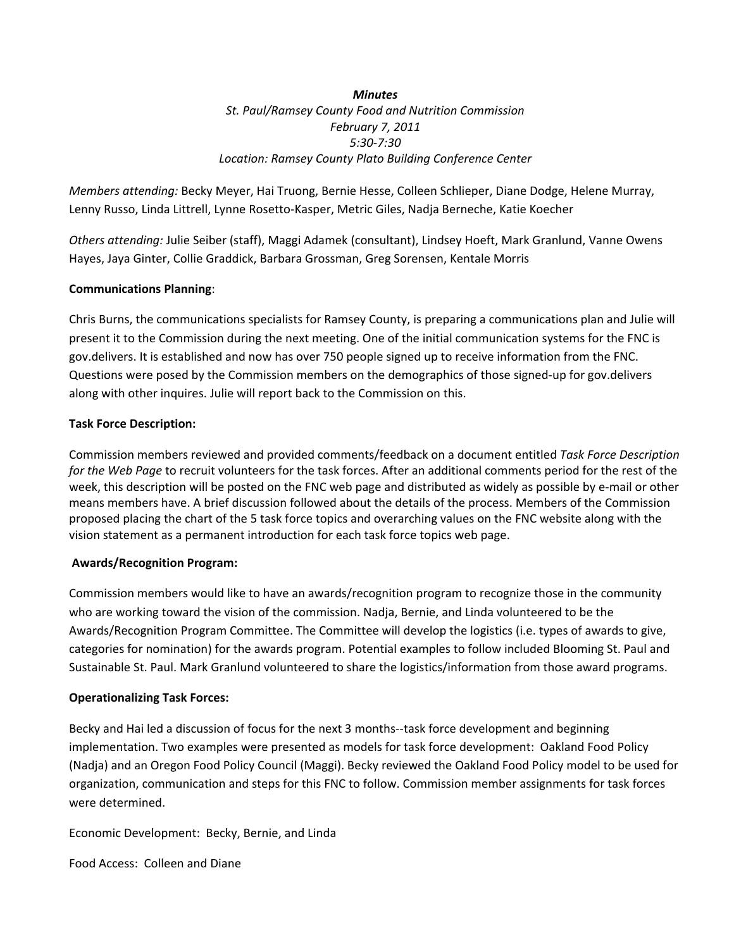*Minutes St. Paul/Ramsey County Food and Nutrition Commission February 7, 2011 5:30‐7:30 Location: Ramsey County Plato Building Conference Center*

*Members attending:* Becky Meyer, Hai Truong, Bernie Hesse, Colleen Schlieper, Diane Dodge, Helene Murray, Lenny Russo, Linda Littrell, Lynne Rosetto‐Kasper, Metric Giles, Nadja Berneche, Katie Koecher

*Others attending:* Julie Seiber (staff), Maggi Adamek (consultant), Lindsey Hoeft, Mark Granlund, Vanne Owens Hayes, Jaya Ginter, Collie Graddick, Barbara Grossman, Greg Sorensen, Kentale Morris

# **Communications Planning**:

Chris Burns, the communications specialists for Ramsey County, is preparing a communications plan and Julie will present it to the Commission during the next meeting. One of the initial communication systems for the FNC is gov.delivers. It is established and now has over 750 people signed up to receive information from the FNC. Questions were posed by the Commission members on the demographics of those signed‐up for gov.delivers along with other inquires. Julie will report back to the Commission on this.

# **Task Force Description:**

Commission members reviewed and provided comments/feedback on a document entitled *Task Force Description for the Web Page* to recruit volunteers for the task forces. After an additional comments period for the rest of the week, this description will be posted on the FNC web page and distributed as widely as possible by e-mail or other means members have. A brief discussion followed about the details of the process. Members of the Commission proposed placing the chart of the 5 task force topics and overarching values on the FNC website along with the vision statement as a permanent introduction for each task force topics web page.

## **Awards/Recognition Program:**

Commission members would like to have an awards/recognition program to recognize those in the community who are working toward the vision of the commission. Nadja, Bernie, and Linda volunteered to be the Awards/Recognition Program Committee. The Committee will develop the logistics (i.e. types of awards to give, categories for nomination) for the awards program. Potential examples to follow included Blooming St. Paul and Sustainable St. Paul. Mark Granlund volunteered to share the logistics/information from those award programs.

## **Operationalizing Task Forces:**

Becky and Hai led a discussion of focus for the next 3 months--task force development and beginning implementation. Two examples were presented as models for task force development: Oakland Food Policy (Nadja) and an Oregon Food Policy Council (Maggi). Becky reviewed the Oakland Food Policy model to be used for organization, communication and steps for this FNC to follow. Commission member assignments for task forces were determined.

Economic Development: Becky, Bernie, and Linda

Food Access: Colleen and Diane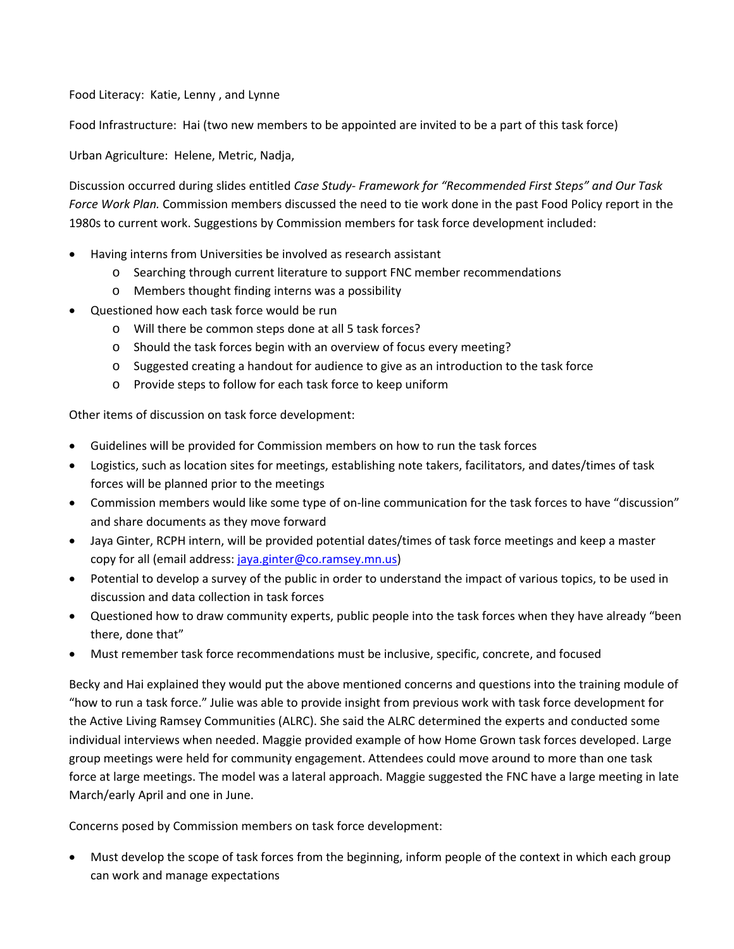Food Literacy: Katie, Lenny , and Lynne

Food Infrastructure: Hai (two new members to be appointed are invited to be a part of this task force)

Urban Agriculture: Helene, Metric, Nadja,

Discussion occurred during slides entitled *Case Study‐ Framework for "Recommended First Steps" and Our Task Force Work Plan.* Commission members discussed the need to tie work done in the past Food Policy report in the 1980s to current work. Suggestions by Commission members for task force development included:

- Having interns from Universities be involved as research assistant
	- o Searching through current literature to support FNC member recommendations
	- o Members thought finding interns was a possibility
- Questioned how each task force would be run
	- o Will there be common steps done at all 5 task forces?
	- o Should the task forces begin with an overview of focus every meeting?
	- o Suggested creating a handout for audience to give as an introduction to the task force
	- o Provide steps to follow for each task force to keep uniform

Other items of discussion on task force development:

- Guidelines will be provided for Commission members on how to run the task forces
- Logistics, such as location sites for meetings, establishing note takers, facilitators, and dates/times of task forces will be planned prior to the meetings
- Commission members would like some type of on‐line communication for the task forces to have "discussion" and share documents as they move forward
- Jaya Ginter, RCPH intern, will be provided potential dates/times of task force meetings and keep a master copy for all (email address: jaya.ginter@co.ramsey.mn.us)
- Potential to develop a survey of the public in order to understand the impact of various topics, to be used in discussion and data collection in task forces
- Questioned how to draw community experts, public people into the task forces when they have already "been there, done that"
- Must remember task force recommendations must be inclusive, specific, concrete, and focused

Becky and Hai explained they would put the above mentioned concerns and questions into the training module of "how to run a task force." Julie was able to provide insight from previous work with task force development for the Active Living Ramsey Communities (ALRC). She said the ALRC determined the experts and conducted some individual interviews when needed. Maggie provided example of how Home Grown task forces developed. Large group meetings were held for community engagement. Attendees could move around to more than one task force at large meetings. The model was a lateral approach. Maggie suggested the FNC have a large meeting in late March/early April and one in June.

Concerns posed by Commission members on task force development:

 Must develop the scope of task forces from the beginning, inform people of the context in which each group can work and manage expectations